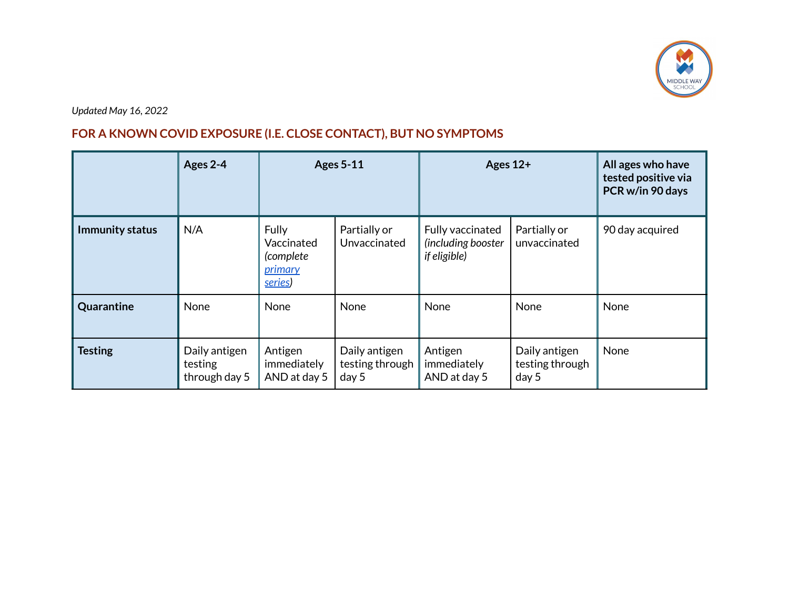

*Updated May 16, 2022*

## **FOR A KNOWN COVID EXPOSURE (I.E. CLOSE CONTACT), BUT NO SYMPTOMS**

|                        | Ages 2-4                                  |                                                               | <b>Ages 5-11</b>                          | Ages $12+$                                             |                                           | All ages who have<br>tested positive via<br>PCR w/in 90 days |
|------------------------|-------------------------------------------|---------------------------------------------------------------|-------------------------------------------|--------------------------------------------------------|-------------------------------------------|--------------------------------------------------------------|
| <b>Immunity status</b> | N/A                                       | Fully<br>Vaccinated<br>(complete<br><i>primary</i><br>series) | Partially or<br>Unvaccinated              | Fully vaccinated<br>(including booster<br>if eligible) | Partially or<br>unvaccinated              | 90 day acquired                                              |
| Quarantine             | None                                      | None                                                          | None                                      | None                                                   | None                                      | None                                                         |
| <b>Testing</b>         | Daily antigen<br>testing<br>through day 5 | Antigen<br>immediately<br>AND at day 5                        | Daily antigen<br>testing through<br>day 5 | Antigen<br>immediately<br>AND at day 5                 | Daily antigen<br>testing through<br>day 5 | None                                                         |